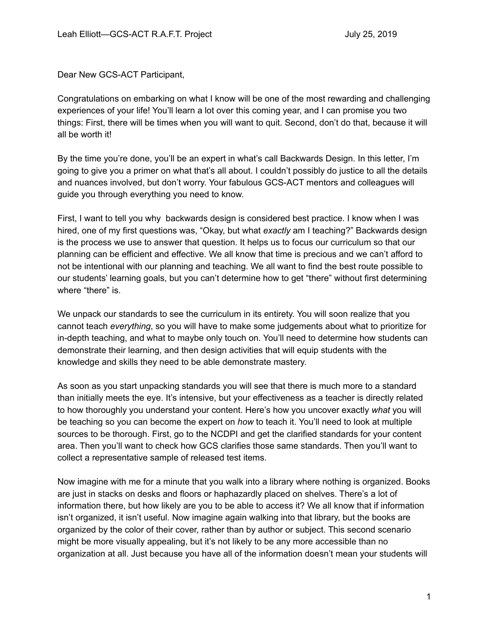Dear New GCS-ACT Participant,

Congratulations on embarking on what I know will be one of the most rewarding and challenging experiences of your life! You'll learn a lot over this coming year, and I can promise you two things: First, there will be times when you will want to quit. Second, don't do that, because it will all be worth it!

By the time you're done, you'll be an expert in what's call Backwards Design. In this letter, I'm going to give you a primer on what that's all about. I couldn't possibly do justice to all the details and nuances involved, but don't worry. Your fabulous GCS-ACT mentors and colleagues will guide you through everything you need to know.

First, I want to tell you why backwards design is considered best practice. I know when I was hired, one of my first questions was, "Okay, but what *exactly* am I teaching?" Backwards design is the process we use to answer that question. It helps us to focus our curriculum so that our planning can be efficient and effective. We all know that time is precious and we can't afford to not be intentional with our planning and teaching. We all want to find the best route possible to our students' learning goals, but you can't determine how to get "there" without first determining where "there" is.

We unpack our standards to see the curriculum in its entirety. You will soon realize that you cannot teach *everything*, so you will have to make some judgements about what to prioritize for in-depth teaching, and what to maybe only touch on. You'll need to determine how students can demonstrate their learning, and then design activities that will equip students with the knowledge and skills they need to be able demonstrate mastery.

As soon as you start unpacking standards you will see that there is much more to a standard than initially meets the eye. It's intensive, but your effectiveness as a teacher is directly related to how thoroughly you understand your content. Here's how you uncover exactly *what* you will be teaching so you can become the expert on *how* to teach it. You'll need to look at multiple sources to be thorough. First, go to the NCDPI and get the clarified standards for your content area. Then you'll want to check how GCS clarifies those same standards. Then you'll want to collect a representative sample of released test items.

Now imagine with me for a minute that you walk into a library where nothing is organized. Books are just in stacks on desks and floors or haphazardly placed on shelves. There's a lot of information there, but how likely are you to be able to access it? We all know that if information isn't organized, it isn't useful. Now imagine again walking into that library, but the books are organized by the color of their cover, rather than by author or subject. This second scenario might be more visually appealing, but it's not likely to be any more accessible than no organization at all. Just because you have all of the information doesn't mean your students will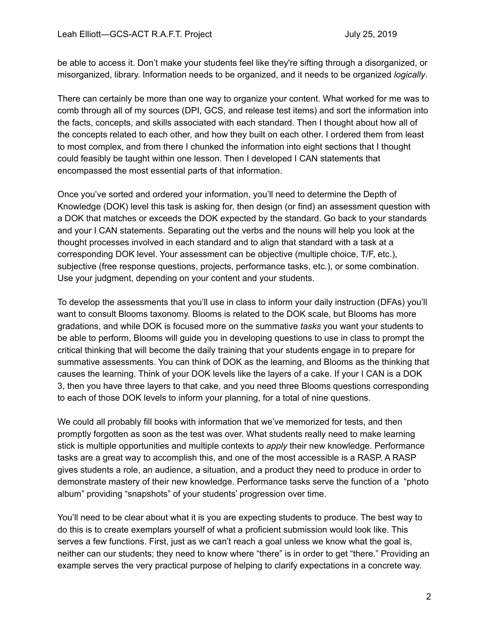be able to access it. Don't make your students feel like they're sifting through a disorganized, or misorganized, library. Information needs to be organized, and it needs to be organized *logically*.

There can certainly be more than one way to organize your content. What worked for me was to comb through all of my sources (DPI, GCS, and release test items) and sort the information into the facts, concepts, and skills associated with each standard. Then I thought about how all of the concepts related to each other, and how they built on each other. I ordered them from least to most complex, and from there I chunked the information into eight sections that I thought could feasibly be taught within one lesson. Then I developed I CAN statements that encompassed the most essential parts of that information.

Once you've sorted and ordered your information, you'll need to determine the Depth of Knowledge (DOK) level this task is asking for, then design (or find) an assessment question with a DOK that matches or exceeds the DOK expected by the standard. Go back to your standards and your I CAN statements. Separating out the verbs and the nouns will help you look at the thought processes involved in each standard and to align that standard with a task at a corresponding DOK level. Your assessment can be objective (multiple choice, T/F, etc.), subjective (free response questions, projects, performance tasks, etc.), or some combination. Use your judgment, depending on your content and your students.

To develop the assessments that you'll use in class to inform your daily instruction (DFAs) you'll want to consult Blooms taxonomy. Blooms is related to the DOK scale, but Blooms has more gradations, and while DOK is focused more on the summative *tasks* you want your students to be able to perform, Blooms will guide you in developing questions to use in class to prompt the critical thinking that will become the daily training that your students engage in to prepare for summative assessments. You can think of DOK as the learning, and Blooms as the thinking that causes the learning. Think of your DOK levels like the layers of a cake. If your I CAN is a DOK 3, then you have three layers to that cake, and you need three Blooms questions corresponding to each of those DOK levels to inform your planning, for a total of nine questions.

We could all probably fill books with information that we've memorized for tests, and then promptly forgotten as soon as the test was over. What students really need to make learning stick is multiple opportunities and multiple contexts to *apply* their new knowledge. Performance tasks are a great way to accomplish this, and one of the most accessible is a RASP. A RASP gives students a role, an audience, a situation, and a product they need to produce in order to demonstrate mastery of their new knowledge. Performance tasks serve the function of a "photo album" providing "snapshots" of your students' progression over time.

You'll need to be clear about what it is you are expecting students to produce. The best way to do this is to create exemplars yourself of what a proficient submission would look like. This serves a few functions. First, just as we can't reach a goal unless we know what the goal is, neither can our students; they need to know where "there" is in order to get "there." Providing an example serves the very practical purpose of helping to clarify expectations in a concrete way.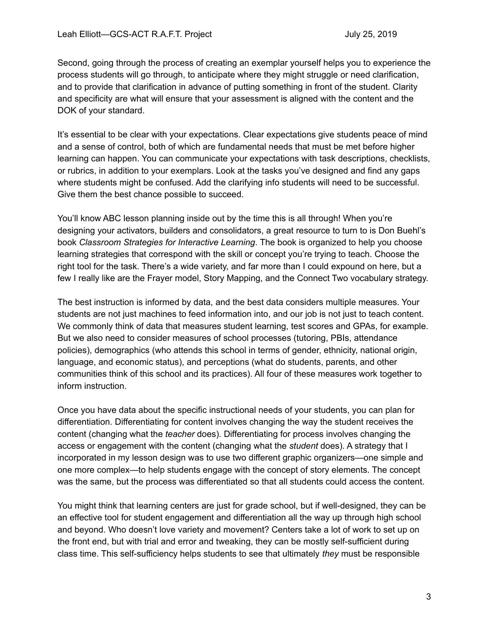Second, going through the process of creating an exemplar yourself helps you to experience the process students will go through, to anticipate where they might struggle or need clarification, and to provide that clarification in advance of putting something in front of the student. Clarity and specificity are what will ensure that your assessment is aligned with the content and the DOK of your standard.

It's essential to be clear with your expectations. Clear expectations give students peace of mind and a sense of control, both of which are fundamental needs that must be met before higher learning can happen. You can communicate your expectations with task descriptions, checklists, or rubrics, in addition to your exemplars. Look at the tasks you've designed and find any gaps where students might be confused. Add the clarifying info students will need to be successful. Give them the best chance possible to succeed.

You'll know ABC lesson planning inside out by the time this is all through! When you're designing your activators, builders and consolidators, a great resource to turn to is Don Buehl's book *Classroom Strategies for Interactive Learning*. The book is organized to help you choose learning strategies that correspond with the skill or concept you're trying to teach. Choose the right tool for the task. There's a wide variety, and far more than I could expound on here, but a few I really like are the Frayer model, Story Mapping, and the Connect Two vocabulary strategy.

The best instruction is informed by data, and the best data considers multiple measures. Your students are not just machines to feed information into, and our job is not just to teach content. We commonly think of data that measures student learning, test scores and GPAs, for example. But we also need to consider measures of school processes (tutoring, PBIs, attendance policies), demographics (who attends this school in terms of gender, ethnicity, national origin, language, and economic status), and perceptions (what do students, parents, and other communities think of this school and its practices). All four of these measures work together to inform instruction.

Once you have data about the specific instructional needs of your students, you can plan for differentiation. Differentiating for content involves changing the way the student receives the content (changing what the *teacher* does). Differentiating for process involves changing the access or engagement with the content (changing what the *student* does). A strategy that I incorporated in my lesson design was to use two different graphic organizers—one simple and one more complex—to help students engage with the concept of story elements. The concept was the same, but the process was differentiated so that all students could access the content.

You might think that learning centers are just for grade school, but if well-designed, they can be an effective tool for student engagement and differentiation all the way up through high school and beyond. Who doesn't love variety and movement? Centers take a lot of work to set up on the front end, but with trial and error and tweaking, they can be mostly self-sufficient during class time. This self-sufficiency helps students to see that ultimately *they* must be responsible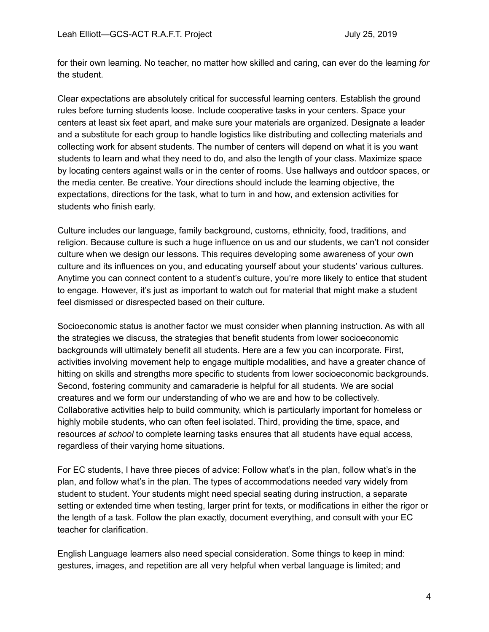for their own learning. No teacher, no matter how skilled and caring, can ever do the learning *for* the student.

Clear expectations are absolutely critical for successful learning centers. Establish the ground rules before turning students loose. Include cooperative tasks in your centers. Space your centers at least six feet apart, and make sure your materials are organized. Designate a leader and a substitute for each group to handle logistics like distributing and collecting materials and collecting work for absent students. The number of centers will depend on what it is you want students to learn and what they need to do, and also the length of your class. Maximize space by locating centers against walls or in the center of rooms. Use hallways and outdoor spaces, or the media center. Be creative. Your directions should include the learning objective, the expectations, directions for the task, what to turn in and how, and extension activities for students who finish early.

Culture includes our language, family background, customs, ethnicity, food, traditions, and religion. Because culture is such a huge influence on us and our students, we can't not consider culture when we design our lessons. This requires developing some awareness of your own culture and its influences on you, and educating yourself about your students' various cultures. Anytime you can connect content to a student's culture, you're more likely to entice that student to engage. However, it's just as important to watch out for material that might make a student feel dismissed or disrespected based on their culture.

Socioeconomic status is another factor we must consider when planning instruction. As with all the strategies we discuss, the strategies that benefit students from lower socioeconomic backgrounds will ultimately benefit all students. Here are a few you can incorporate. First, activities involving movement help to engage multiple modalities, and have a greater chance of hitting on skills and strengths more specific to students from lower socioeconomic backgrounds. Second, fostering community and camaraderie is helpful for all students. We are social creatures and we form our understanding of who we are and how to be collectively. Collaborative activities help to build community, which is particularly important for homeless or highly mobile students, who can often feel isolated. Third, providing the time, space, and resources *at school* to complete learning tasks ensures that all students have equal access, regardless of their varying home situations.

For EC students, I have three pieces of advice: Follow what's in the plan, follow what's in the plan, and follow what's in the plan. The types of accommodations needed vary widely from student to student. Your students might need special seating during instruction, a separate setting or extended time when testing, larger print for texts, or modifications in either the rigor or the length of a task. Follow the plan exactly, document everything, and consult with your EC teacher for clarification.

English Language learners also need special consideration. Some things to keep in mind: gestures, images, and repetition are all very helpful when verbal language is limited; and